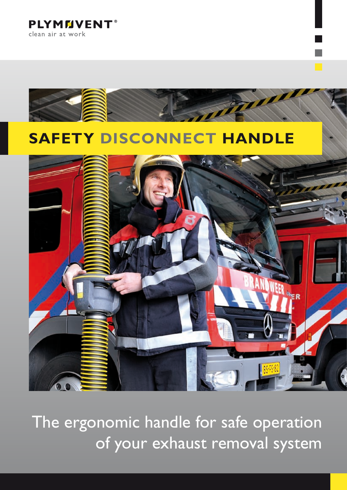**PLYMMVENT®** clean air at work



The ergonomic handle for safe operation of your exhaust removal system